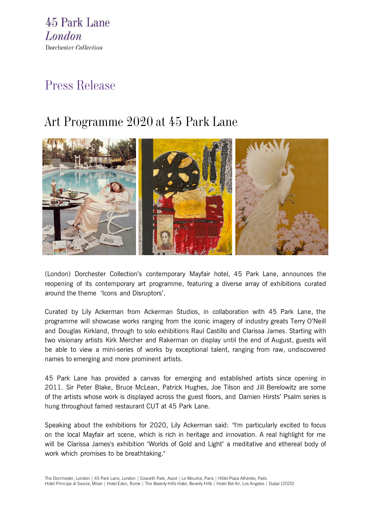45 Park Lane London Dorchester Collection

# Press Release

# Art Programme 2020 at 45 Park Lane



(London) Dorchester Collection's contemporary Mayfair hotel, [45 Park Lane,](https://www.dorchestercollection.com/en/london/45-park-lane/) announces the reopening of its contemporary art programme, featuring a diverse array of exhibitions curated around the theme 'Icons and Disruptors'.

Curated by Lily Ackerman from Ackerman Studios, in collaboration with 45 Park Lane, the programme will showcase works ranging from the iconic imagery of industry greats Terry O'Neill and Douglas Kirkland, through to solo exhibitions Raul Castillo and Clarissa James. Starting with two visionary artists Kirk Mercher and Rakerman on display until the end of August, guests will be able to view a mini-series of works by exceptional talent, ranging from raw, undiscovered names to emerging and more prominent artists.

45 Park Lane has provided a canvas for emerging and established artists since opening in 2011. Sir Peter Blake, Bruce McLean, Patrick Hughes, Joe Tilson and Jill Berelowitz are some of the artists whose work is displayed across the guest floors, and Damien Hirsts' Psalm series is hung throughout famed restaurant CUT at 45 Park Lane.

Speaking about the exhibitions for 2020, Lily Ackerman said: "I'm particularly excited to focus on the local Mayfair art scene, which is rich in heritage and innovation. A real highlight for me will be Clarissa James's exhibition 'Worlds of Gold and Light' a meditative and ethereal body of work which promises to be breathtaking."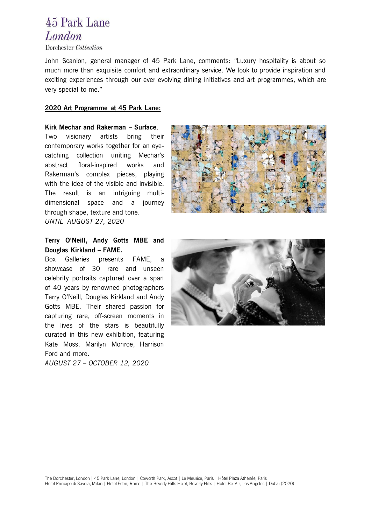## 45 Park Lane London

Dorchester Collection

John Scanlon, general manager of 45 Park Lane, comments: "Luxury hospitality is about so much more than exquisite comfort and extraordinary service. We look to provide inspiration and exciting experiences through our ever evolving dining initiatives and art programmes, which are very special to me."

### **2020 Art Programme at 45 Park Lane:**

**Kirk Mechar and Rakerman – Surface**. Two visionary artists bring their contemporary works together for an eyecatching collection uniting Mechar's abstract floral-inspired works and Rakerman's complex pieces, playing with the idea of the visible and invisible. The result is an intriguing multidimensional space and a journey through shape, texture and tone. *UNTIL AUGUST 27, 2020* 



## **Terry O'Neill, Andy Gotts MBE and Douglas Kirkland – FAME.**

Box Galleries presents FAME, a showcase of 30 rare and unseen celebrity portraits captured over a span of 40 years by renowned photographers Terry O'Neill, Douglas Kirkland and Andy Gotts MBE. Their shared passion for capturing rare, off-screen moments in the lives of the stars is beautifully curated in this new exhibition, featuring Kate Moss, Marilyn Monroe, Harrison Ford and more.

*AUGUST 27 – OCTOBER 12, 2020*

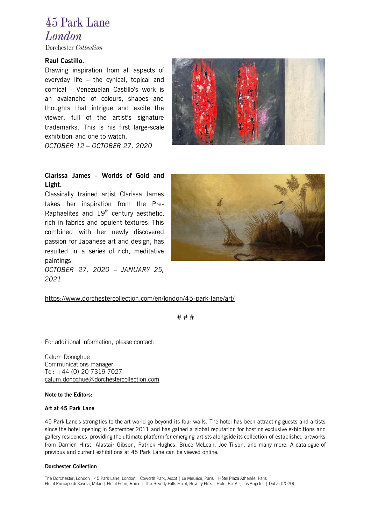# 45 Park Lane London

Dorchester Collection

### **Raul Castillo.**

Drawing inspiration from all aspects of everyday life – the cynical, topical and comical - Venezuelan Castillo's work is an avalanche of colours, shapes and thoughts that intrigue and excite the viewer, full of the artist's signature trademarks. This is his first large-scale exhibition and one to watch.

*OCTOBER 12 – OCTOBER 27, 2020*



## **Clarissa James - Worlds of Gold and Light.**

Classically trained artist Clarissa James takes her inspiration from the Pre-Raphaelites and  $19<sup>th</sup>$  century aesthetic, rich in fabrics and opulent textures. This combined with her newly discovered passion for Japanese art and design, has resulted in a series of rich, meditative paintings. *OCTOBER 27, 2020 – JANUARY 25,* 



### <https://www.dorchestercollection.com/en/london/45-park-lane/art/>

# # #

For additional information, please contact:

Calum Donoghue Communications manager Tel: +44 (0) 20 7319 7027 [calum.donoghue@dorchestercollection.com](mailto:calum.donoghue@dorchestercollection.com)

#### **Note to the Editors:**

*2021* 

#### **Art at 45 Park Lane**

45 Park Lane's strong ties to the art world go beyond its four walls. The hotel has been attracting guests and artists since the hotel opening in September 2011 and has gained a global reputation for hosting exclusive exhibitions and gallery residences, providing the ultimate platform for emerging artists alongside its collection of established artworks from Damien Hirst, Alastair Gibson, Patrick Hughes, Bruce McLean, Joe Tilson, and many more. A catalogue of previous and current exhibitions at 45 Park Lane can be viewed [onlin](https://www.dorchestercollection.com/en/london/45-park-lane/art/)e.

#### **Dorchester Collection**

The Dorchester, London | 45 Park Lane, London | Coworth Park, Ascot | Le Meurice, Paris | Hôtel Plaza Athénée, Paris Hotel Principe di Savoia, Milan | Hotel Eden, Rome | The Beverly Hills Hotel, Beverly Hills | Hotel Bel Air, Los Angeles | Dubai (2020)